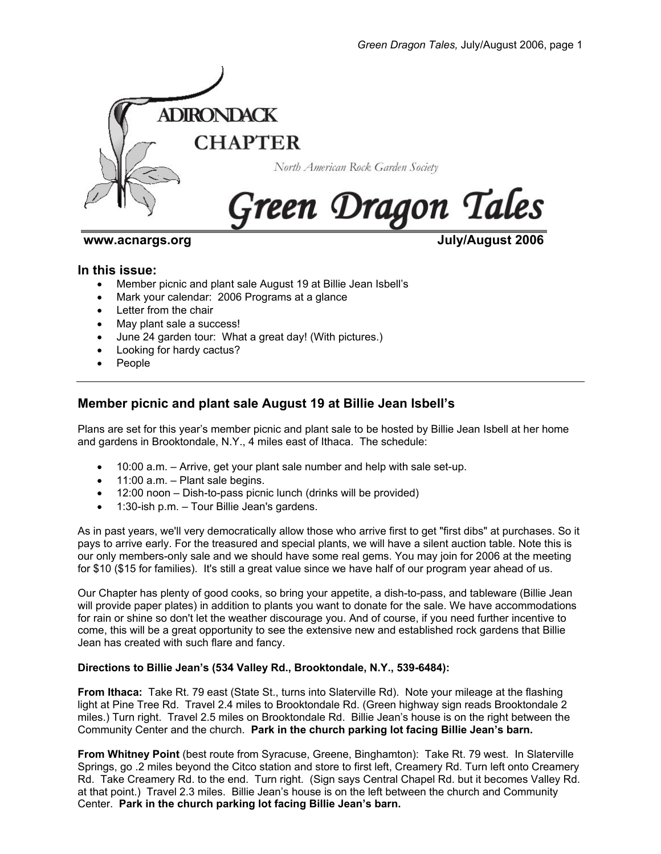

**www.acnargs.org July/August 2006**

### **In this issue:**

- Member picnic and plant sale August 19 at Billie Jean Isbell's
- Mark your calendar: 2006 Programs at a glance
- Letter from the chair
- May plant sale a success!
- June 24 garden tour: What a great day! (With pictures.)
- Looking for hardy cactus?
- People

# **Member picnic and plant sale August 19 at Billie Jean Isbell's**

Plans are set for this year's member picnic and plant sale to be hosted by Billie Jean Isbell at her home and gardens in Brooktondale, N.Y., 4 miles east of Ithaca. The schedule:

- 10:00 a.m. Arrive, get your plant sale number and help with sale set-up.
- 11:00 a.m. Plant sale begins.
- 12:00 noon Dish-to-pass picnic lunch (drinks will be provided)
- 1:30-ish p.m. Tour Billie Jean's gardens.

As in past years, we'll very democratically allow those who arrive first to get "first dibs" at purchases. So it pays to arrive early. For the treasured and special plants, we will have a silent auction table. Note this is our only members-only sale and we should have some real gems. You may join for 2006 at the meeting for \$10 (\$15 for families). It's still a great value since we have half of our program year ahead of us.

Our Chapter has plenty of good cooks, so bring your appetite, a dish-to-pass, and tableware (Billie Jean will provide paper plates) in addition to plants you want to donate for the sale. We have accommodations for rain or shine so don't let the weather discourage you. And of course, if you need further incentive to come, this will be a great opportunity to see the extensive new and established rock gardens that Billie Jean has created with such flare and fancy.

### **Directions to Billie Jean's (534 Valley Rd., Brooktondale, N.Y., 539-6484):**

**From Ithaca:** Take Rt. 79 east (State St., turns into Slaterville Rd). Note your mileage at the flashing light at Pine Tree Rd. Travel 2.4 miles to Brooktondale Rd. (Green highway sign reads Brooktondale 2 miles.) Turn right. Travel 2.5 miles on Brooktondale Rd. Billie Jean's house is on the right between the Community Center and the church. **Park in the church parking lot facing Billie Jean's barn.**

**From Whitney Point** (best route from Syracuse, Greene, Binghamton): Take Rt. 79 west. In Slaterville Springs, go .2 miles beyond the Citco station and store to first left, Creamery Rd. Turn left onto Creamery Rd. Take Creamery Rd. to the end. Turn right. (Sign says Central Chapel Rd. but it becomes Valley Rd. at that point.) Travel 2.3 miles. Billie Jean's house is on the left between the church and Community Center. **Park in the church parking lot facing Billie Jean's barn.**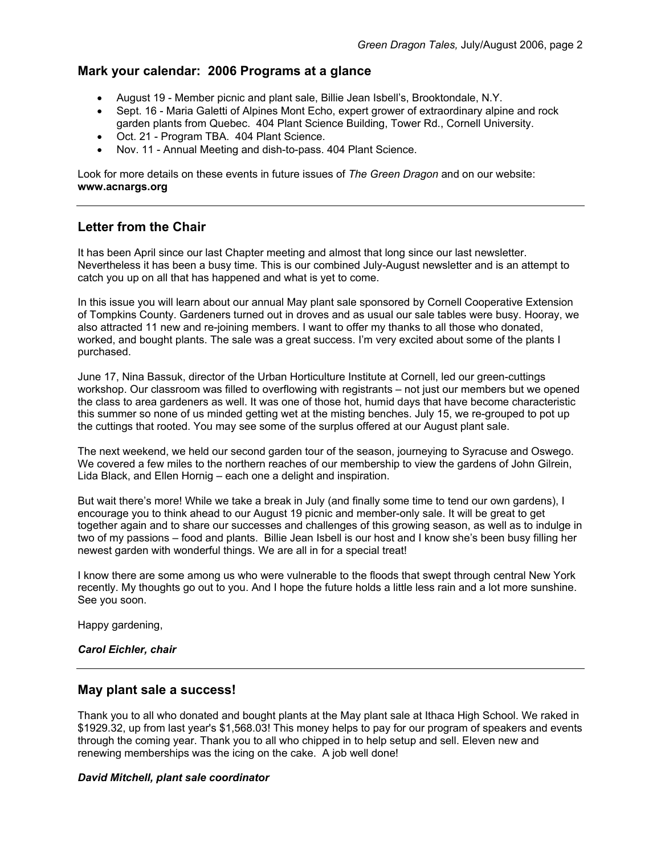## **Mark your calendar: 2006 Programs at a glance**

- August 19 Member picnic and plant sale, Billie Jean Isbell's, Brooktondale, N.Y.
- Sept. 16 Maria Galetti of Alpines Mont Echo, expert grower of extraordinary alpine and rock garden plants from Quebec. 404 Plant Science Building, Tower Rd., Cornell University.
- Oct. 21 Program TBA. 404 Plant Science.
- Nov. 11 Annual Meeting and dish-to-pass. 404 Plant Science.

Look for more details on these events in future issues of *The Green Dragon* and on our website: **www.acnargs.org**

# **Letter from the Chair**

It has been April since our last Chapter meeting and almost that long since our last newsletter. Nevertheless it has been a busy time. This is our combined July-August newsletter and is an attempt to catch you up on all that has happened and what is yet to come.

In this issue you will learn about our annual May plant sale sponsored by Cornell Cooperative Extension of Tompkins County. Gardeners turned out in droves and as usual our sale tables were busy. Hooray, we also attracted 11 new and re-joining members. I want to offer my thanks to all those who donated, worked, and bought plants. The sale was a great success. I'm very excited about some of the plants I purchased.

June 17, Nina Bassuk, director of the Urban Horticulture Institute at Cornell, led our green-cuttings workshop. Our classroom was filled to overflowing with registrants – not just our members but we opened the class to area gardeners as well. It was one of those hot, humid days that have become characteristic this summer so none of us minded getting wet at the misting benches. July 15, we re-grouped to pot up the cuttings that rooted. You may see some of the surplus offered at our August plant sale.

The next weekend, we held our second garden tour of the season, journeying to Syracuse and Oswego. We covered a few miles to the northern reaches of our membership to view the gardens of John Gilrein, Lida Black, and Ellen Hornig – each one a delight and inspiration.

But wait there's more! While we take a break in July (and finally some time to tend our own gardens), I encourage you to think ahead to our August 19 picnic and member-only sale. It will be great to get together again and to share our successes and challenges of this growing season, as well as to indulge in two of my passions – food and plants. Billie Jean Isbell is our host and I know she's been busy filling her newest garden with wonderful things. We are all in for a special treat!

I know there are some among us who were vulnerable to the floods that swept through central New York recently. My thoughts go out to you. And I hope the future holds a little less rain and a lot more sunshine. See you soon.

Happy gardening,

### *Carol Eichler, chair*

## **May plant sale a success!**

Thank you to all who donated and bought plants at the May plant sale at Ithaca High School. We raked in \$1929.32, up from last year's \$1,568.03! This money helps to pay for our program of speakers and events through the coming year. Thank you to all who chipped in to help setup and sell. Eleven new and renewing memberships was the icing on the cake. A job well done!

#### *David Mitchell, plant sale coordinator*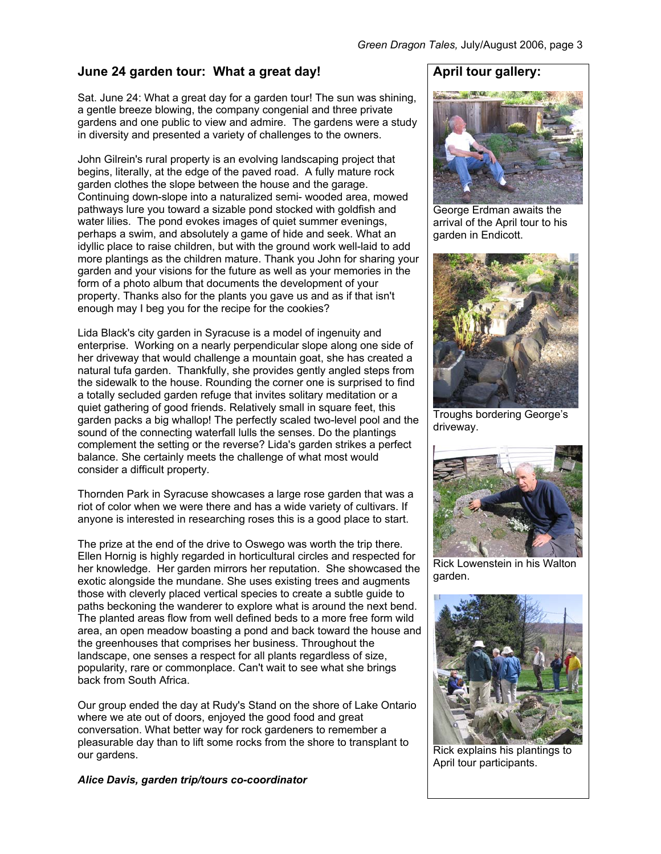# **June 24 garden tour: What a great day!**

Sat. June 24: What a great day for a garden tour! The sun was shining, a gentle breeze blowing, the company congenial and three private gardens and one public to view and admire. The gardens were a study in diversity and presented a variety of challenges to the owners.

John Gilrein's rural property is an evolving landscaping project that begins, literally, at the edge of the paved road. A fully mature rock garden clothes the slope between the house and the garage. Continuing down-slope into a naturalized semi- wooded area, mowed pathways lure you toward a sizable pond stocked with goldfish and water lilies. The pond evokes images of quiet summer evenings, perhaps a swim, and absolutely a game of hide and seek. What an idyllic place to raise children, but with the ground work well-laid to add more plantings as the children mature. Thank you John for sharing your garden and your visions for the future as well as your memories in the form of a photo album that documents the development of your property. Thanks also for the plants you gave us and as if that isn't enough may I beg you for the recipe for the cookies?

Lida Black's city garden in Syracuse is a model of ingenuity and enterprise. Working on a nearly perpendicular slope along one side of her driveway that would challenge a mountain goat, she has created a natural tufa garden. Thankfully, she provides gently angled steps from the sidewalk to the house. Rounding the corner one is surprised to find a totally secluded garden refuge that invites solitary meditation or a quiet gathering of good friends. Relatively small in square feet, this garden packs a big whallop! The perfectly scaled two-level pool and the sound of the connecting waterfall lulls the senses. Do the plantings complement the setting or the reverse? Lida's garden strikes a perfect balance. She certainly meets the challenge of what most would consider a difficult property.

Thornden Park in Syracuse showcases a large rose garden that was a riot of color when we were there and has a wide variety of cultivars. If anyone is interested in researching roses this is a good place to start.

The prize at the end of the drive to Oswego was worth the trip there. Ellen Hornig is highly regarded in horticultural circles and respected for her knowledge. Her garden mirrors her reputation. She showcased the exotic alongside the mundane. She uses existing trees and augments those with cleverly placed vertical species to create a subtle guide to paths beckoning the wanderer to explore what is around the next bend. The planted areas flow from well defined beds to a more free form wild area, an open meadow boasting a pond and back toward the house and the greenhouses that comprises her business. Throughout the landscape, one senses a respect for all plants regardless of size, popularity, rare or commonplace. Can't wait to see what she brings back from South Africa.

Our group ended the day at Rudy's Stand on the shore of Lake Ontario where we ate out of doors, enjoyed the good food and great conversation. What better way for rock gardeners to remember a pleasurable day than to lift some rocks from the shore to transplant to our gardens.

*Alice Davis, garden trip/tours co-coordinator* 

# **April tour gallery:**



George Erdman awaits the arrival of the April tour to his garden in Endicott.



Troughs bordering George's driveway.



Rick Lowenstein in his Walton garden.



Rick explains his plantings to April tour participants.